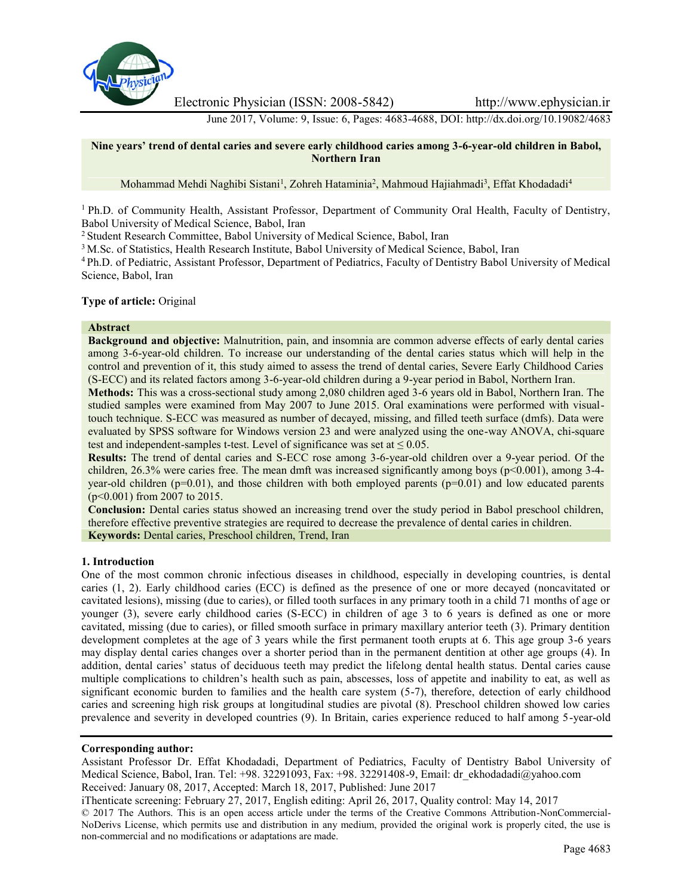

Electronic Physician (ISSN: 2008-5842) http://www.ephysician.ir

June 2017, Volume: 9, Issue: 6, Pages: 4683-4688, DOI: http://dx.doi.org/10.19082/4683

## **Nine years' trend of dental caries and severe early childhood caries among 3-6-year-old children in Babol, Northern Iran**

Mohammad Mehdi Naghibi Sistani<sup>1</sup>, Zohreh Hataminia<sup>2</sup>, Mahmoud Hajiahmadi<sup>3</sup>, Effat Khodadadi<sup>4</sup>

<sup>1</sup> Ph.D. of Community Health, Assistant Professor, Department of Community Oral Health, Faculty of Dentistry, Babol University of Medical Science, Babol, Iran

<sup>2</sup> Student Research Committee, Babol University of Medical Science, Babol, Iran

<sup>3</sup> M.Sc. of Statistics, Health Research Institute, Babol University of Medical Science, Babol, Iran

<sup>4</sup> Ph.D. of Pediatric, Assistant Professor, Department of Pediatrics, Faculty of Dentistry Babol University of Medical Science, Babol, Iran

## **Type of article:** Original

#### **Abstract**

**Background and objective:** Malnutrition, pain, and insomnia are common adverse effects of early dental caries among 3-6-year-old children. To increase our understanding of the dental caries status which will help in the control and prevention of it, this study aimed to assess the trend of dental caries, Severe Early Childhood Caries (S-ECC) and its related factors among 3-6-year-old children during a 9-year period in Babol, Northern Iran.

**Methods:** This was a cross-sectional study among 2,080 children aged 3-6 years old in Babol, Northern Iran. The studied samples were examined from May 2007 to June 2015. Oral examinations were performed with visualtouch technique. S-ECC was measured as number of decayed, missing, and filled teeth surface (dmfs). Data were evaluated by SPSS software for Windows version 23 and were analyzed using the one-way ANOVA, chi-square test and independent-samples t-test. Level of significance was set at  $\leq 0.05$ .

**Results:** The trend of dental caries and S-ECC rose among 3-6-year-old children over a 9-year period. Of the children, 26.3% were caries free. The mean dmft was increased significantly among boys ( $p<0.001$ ), among 3-4year-old children ( $p=0.01$ ), and those children with both employed parents ( $p=0.01$ ) and low educated parents (p<0.001) from 2007 to 2015.

**Conclusion:** Dental caries status showed an increasing trend over the study period in Babol preschool children, therefore effective preventive strategies are required to decrease the prevalence of dental caries in children. **Keywords:** Dental caries, Preschool children, Trend, Iran

### **1. Introduction**

One of the most common chronic infectious diseases in childhood, especially in developing countries, is dental caries (1, 2). Early childhood caries (ECC) is defined as the presence of one or more decayed (noncavitated or cavitated lesions), missing (due to caries), or filled tooth surfaces in any primary tooth in a child 71 months of age or younger (3), severe early childhood caries (S-ECC) in children of age 3 to 6 years is defined as one or more cavitated, missing (due to caries), or filled smooth surface in primary maxillary anterior teeth (3). Primary dentition development completes at the age of 3 years while the first permanent tooth erupts at 6. This age group 3-6 years may display dental caries changes over a shorter period than in the permanent dentition at other age groups (4). In addition, dental caries' status of deciduous teeth may predict the lifelong dental health status. Dental caries cause multiple complications to children's health such as pain, abscesses, loss of appetite and inability to eat, as well as significant economic burden to families and the health care system (5-7), therefore, detection of early childhood caries and screening high risk groups at longitudinal studies are pivotal (8). Preschool children showed low caries prevalence and severity in developed countries (9). In Britain, caries experience reduced to half among 5-year-old

## **Corresponding author:**

Assistant Professor Dr. Effat Khodadadi, Department of Pediatrics, Faculty of Dentistry Babol University of Medical Science, Babol, Iran. Tel: +98. 32291093, Fax: +98. 32291408-9, Email: dr\_ekhodadadi@yahoo.com Received: January 08, 2017, Accepted: March 18, 2017, Published: June 2017

iThenticate screening: February 27, 2017, English editing: April 26, 2017, Quality control: May 14, 2017

© 2017 The Authors. This is an open access article under the terms of the Creative Commons Attribution-NonCommercial- NoDerivs License, which permits use and distribution in any medium, provided the original work is properly cited, the use is non-commercial and no modifications or adaptations are made.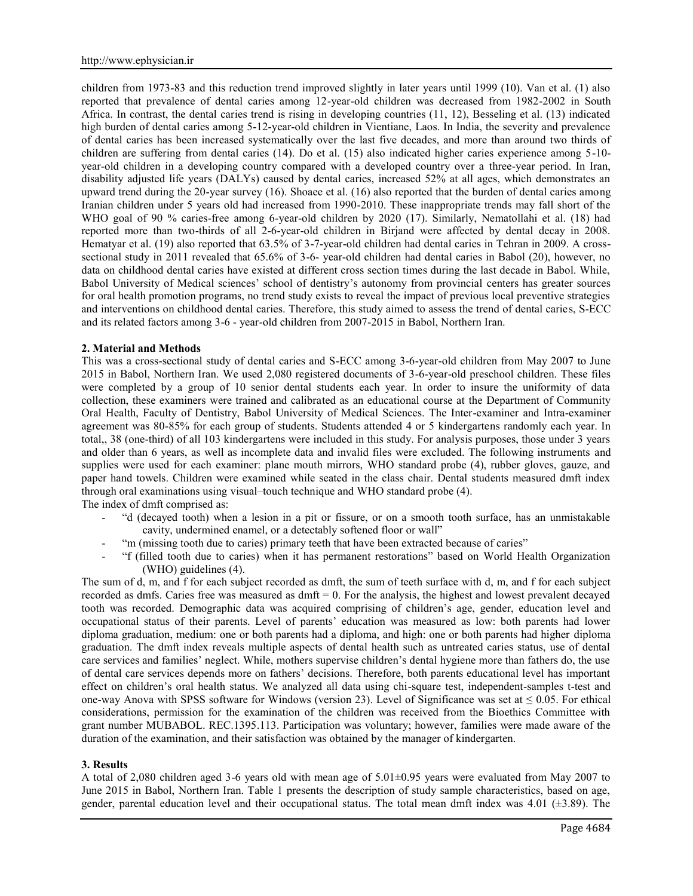children from 1973-83 and this reduction trend improved slightly in later years until 1999 (10). Van et al. (1) also reported that prevalence of dental caries among 12-year-old children was decreased from 1982-2002 in South Africa. In contrast, the dental caries trend is rising in developing countries (11, 12), Besseling et al. (13) indicated high burden of dental caries among 5-12-year-old children in Vientiane, Laos. In India, the severity and prevalence of dental caries has been increased systematically over the last five decades, and more than around two thirds of children are suffering from dental caries (14). Do et al. (15) also indicated higher caries experience among 5-10 year-old children in a developing country compared with a developed country over a three-year period. In Iran, disability adjusted life years (DALYs) caused by dental caries, increased 52% at all ages, which demonstrates an upward trend during the 20-year survey (16). Shoaee et al. (16) also reported that the burden of dental caries among Iranian children under 5 years old had increased from 1990-2010. These inappropriate trends may fall short of the WHO goal of 90 % caries-free among 6-year-old children by 2020 (17). Similarly, Nematollahi et al. (18) had reported more than two-thirds of all 2-6-year-old children in Birjand were affected by dental decay in 2008. Hematyar et al. (19) also reported that 63.5% of 3-7-year-old children had dental caries in Tehran in 2009. A cross sectional study in 2011 revealed that 65.6% of 3-6- year-old children had dental caries in Babol (20), however, no data on childhood dental caries have existed at different cross section times during the last decade in Babol. While, Babol University of Medical sciences' school of dentistry's autonomy from provincial centers has greater sources for oral health promotion programs, no trend study exists to reveal the impact of previous local preventive strategies and interventions on childhood dental caries. Therefore, this study aimed to assess the trend of dental caries, S-ECC and its related factors among 3-6 - year-old children from 2007-2015 in Babol, Northern Iran.

### **2. Material and Methods**

This was a cross-sectional study of dental caries and S-ECC among 3-6-year-old children from May 2007 to June 2015 in Babol, Northern Iran. We used 2,080 registered documents of 3-6-year-old preschool children. These files were completed by a group of 10 senior dental students each year. In order to insure the uniformity of data collection, these examiners were trained and calibrated as an educational course at the Department of Community Oral Health, Faculty of Dentistry, Babol University of Medical Sciences. The Inter-examiner and Intra-examiner agreement was 80-85% for each group of students. Students attended 4 or 5 kindergartens randomly each year. In total,, 38 (one-third) of all 103 kindergartens were included in this study. For analysis purposes, those under 3 years and older than 6 years, as well as incomplete data and invalid files were excluded. The following instruments and supplies were used for each examiner: plane mouth mirrors, WHO standard probe (4), rubber gloves, gauze, and paper hand towels. Children were examined while seated in the class chair. Dental students measured dmft index through oral examinations using visual–touch technique and WHO standard probe (4).

The index of dmft comprised as:

- "d (decayed tooth) when a lesion in a pit or fissure, or on a smooth tooth surface, has an unmistakable cavity, undermined enamel, or a detectably softened floor or wall"
- "m (missing tooth due to caries) primary teeth that have been extracted because of caries"
- "f (filled tooth due to caries) when it has permanent restorations" based on World Health Organization (WHO) guidelines (4).

The sum of d, m, and f for each subject recorded as dmft, the sum of teeth surface with d, m, and f for each subject recorded as dmfs. Caries free was measured as dmft = 0. For the analysis, the highest and lowest prevalent decayed tooth was recorded. Demographic data was acquired comprising of children's age, gender, education level and occupational status of their parents. Level of parents' education was measured as low: both parents had lower diploma graduation, medium: one or both parents had a diploma, and high: one or both parents had higher diploma graduation. The dmft index reveals multiple aspects of dental health such as untreated caries status, use of dental care services and families' neglect. While, mothers supervise children's dental hygiene more than fathers do, the use of dental care services depends more on fathers' decisions. Therefore, both parents educational level has important effect on children's oral health status. We analyzed all data using chi-square test, independent-samples t-test and one-way Anova with SPSS software for Windows (version 23). Level of Significance was set at  $\leq 0.05$ . For ethical considerations, permission for the examination of the children was received from the Bioethics Committee with grant number MUBABOL. REC.1395.113. Participation was voluntary; however, families were made aware of the duration of the examination, and their satisfaction was obtained by the manager of kindergarten.

### **3. Results**

A total of 2,080 children aged 3-6 years old with mean age of 5.01±0.95 years were evaluated from May 2007 to June 2015 in Babol, Northern Iran. Table 1 presents the description of study sample characteristics, based on age, gender, parental education level and their occupational status. The total mean dmft index was  $4.01$  ( $\pm 3.89$ ). The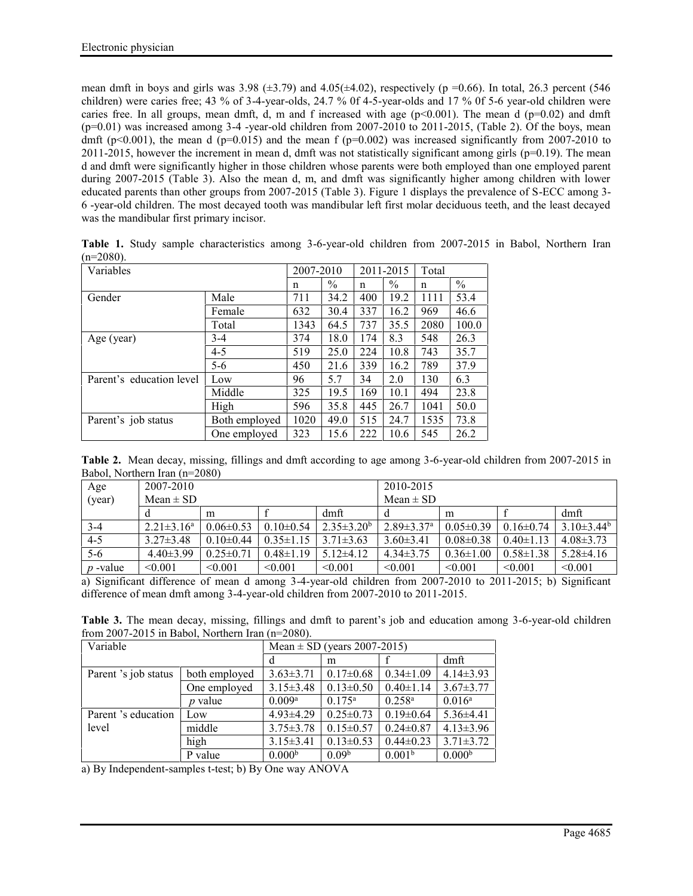mean dmft in boys and girls was 3.98 ( $\pm$ 3.79) and 4.05( $\pm$ 4.02), respectively (p =0.66). In total, 26.3 percent (546) children) were caries free; 43 % of 3-4-year-olds, 24.7 % 0f 4-5-year-olds and 17 % 0f 5-6 year-old children were caries free. In all groups, mean dmft, d, m and f increased with age  $(p<0.001)$ . The mean d  $(p=0.02)$  and dmft  $(p=0.01)$  was increased among 3-4 -year-old children from 2007-2010 to 2011-2015, (Table 2). Of the boys, mean dmft (p<0.001), the mean d (p=0.015) and the mean f (p=0.002) was increased significantly from 2007-2010 to  $2011-2015$ , however the increment in mean d, dmft was not statistically significant among girls ( $p=0.19$ ). The mean d and dmft were significantly higher in those children whose parents were both employed than one employed parent during 2007-2015 (Table 3). Also the mean d, m, and dmft was significantly higher among children with lower educated parents than other groups from 2007-2015 (Table 3). Figure 1 displays the prevalence of S-ECC among 3- 6 -year-old children. The most decayed tooth was mandibular left first molar deciduous teeth, and the least decayed was the mandibular first primary incisor.

| Variables                |               | 2007-2010 |               | 2011-2015 |      | Total |               |
|--------------------------|---------------|-----------|---------------|-----------|------|-------|---------------|
|                          |               | n         | $\frac{0}{0}$ | n         | $\%$ | n     | $\frac{0}{0}$ |
| Gender                   | Male          | 711       | 34.2          | 400       | 19.2 | 1111  | 53.4          |
|                          | Female        | 632       | 30.4          | 337       | 16.2 | 969   | 46.6          |
|                          | Total         | 1343      | 64.5          | 737       | 35.5 | 2080  | 100.0         |
| Age (year)               | $3-4$         | 374       | 18.0          | 174       | 8.3  | 548   | 26.3          |
|                          | $4 - 5$       | 519       | 25.0          | 224       | 10.8 | 743   | 35.7          |
|                          | $5-6$         | 450       | 21.6          | 339       | 16.2 | 789   | 37.9          |
| Parent's education level | Low           | 96        | 5.7           | 34        | 2.0  | 130   | 6.3           |
|                          | Middle        | 325       | 19.5          | 169       | 10.1 | 494   | 23.8          |
|                          | High          | 596       | 35.8          | 445       | 26.7 | 1041  | 50.0          |
| Parent's job status      | Both employed | 1020      | 49.0          | 515       | 24.7 | 1535  | 73.8          |
|                          | One employed  | 323       | 15.6          | 222       | 10.6 | 545   | 26.2          |

**Table 1.** Study sample characteristics among 3-6-year-old children from 2007-2015 in Babol, Northern Iran  $(n=2080)$ .

**Table 2.** Mean decay, missing, fillings and dmft according to age among 3-6-year-old children from 2007-2015 in Babol, Northern Iran (n=2080)

| Age        | 2007-2010         |                 |                 |                   | 2010-2015                    |                 |                 |                 |
|------------|-------------------|-----------------|-----------------|-------------------|------------------------------|-----------------|-----------------|-----------------|
| (year)     | $Mean \pm SD$     |                 |                 | $Mean \pm SD$     |                              |                 |                 |                 |
|            |                   | m               |                 | dmft              |                              | m               |                 | dmft            |
| $3 - 4$    | $2.21 \pm 3.16^a$ | $0.06\pm 0.53$  | $0.10 \pm 0.54$ | $2.35 \pm 3.20^b$ | $2.89 \pm 3.37$ <sup>a</sup> | $0.05 \pm 0.39$ | $0.16 \pm 0.74$ | $3.10\pm3.44^b$ |
| $4-5$      | $3.27 \pm 3.48$   | $0.10 \pm 0.44$ | $0.35 \pm 1.15$ | $3.71 \pm 3.63$   | $3.60 \pm 3.41$              | $0.08 \pm 0.38$ | $0.40 \pm 1.13$ | $4.08 \pm 3.73$ |
| $5-6$      | $4.40\pm3.99$     | $0.25 \pm 0.71$ | $0.48 \pm 1.19$ | $5.12\pm4.12$     | $4.34\pm3.75$                | $0.36 \pm 1.00$ | $0.58 \pm 1.38$ | $5.28\pm4.16$   |
| $p$ -value | $\leq 0.001$      | < 0.001         | < 0.001         | < 0.001           | $\leq 0.001$                 | < 0.001         | < 0.001         | < 0.001         |

a) Significant difference of mean d among 3-4-year-old children from 2007-2010 to 2011-2015; b) Significant difference of mean dmft among 3-4-year-old children from 2007-2010 to 2011-2015.

**Table 3.** The mean decay, missing, fillings and dmft to parent's job and education among 3-6-year-old children from 2007-2015 in Babol, Northern Iran (n=2080).

| Variable             |                | Mean $\pm$ SD (years 2007-2015) |                   |                    |                    |  |  |
|----------------------|----------------|---------------------------------|-------------------|--------------------|--------------------|--|--|
|                      |                | d                               | m                 |                    | dmft               |  |  |
| Parent 's job status | both employed  | $3.63 \pm 3.71$                 | $0.17 \pm 0.68$   | $0.34 \pm 1.09$    | $4.14\pm3.93$      |  |  |
|                      | One employed   | $3.15 \pm 3.48$                 | $0.13 \pm 0.50$   | $0.40 \pm 1.14$    | $3.67 \pm 3.77$    |  |  |
|                      | <i>p</i> value | 0.009 <sup>a</sup>              | $0.175^{\rm a}$   | $0.258^{\rm a}$    | $0.016^{\rm a}$    |  |  |
| Parent 's education  | Low            | $4.93 \pm 4.29$                 | $0.25 \pm 0.73$   | $0.19 \pm 0.64$    | $5.36\pm4.41$      |  |  |
| level                | middle         | $3.75 \pm 3.78$                 | $0.15 \pm 0.57$   | $0.24 \pm 0.87$    | $4.13 \pm 3.96$    |  |  |
|                      | high           | $3.15 \pm 3.41$                 | $0.13 \pm 0.53$   | $0.44 \pm 0.23$    | $3.71 \pm 3.72$    |  |  |
|                      | P value        | 0.000 <sup>b</sup>              | 0.09 <sup>b</sup> | 0.001 <sup>b</sup> | 0.000 <sup>b</sup> |  |  |

a) By Independent-samples t-test; b) By One way ANOVA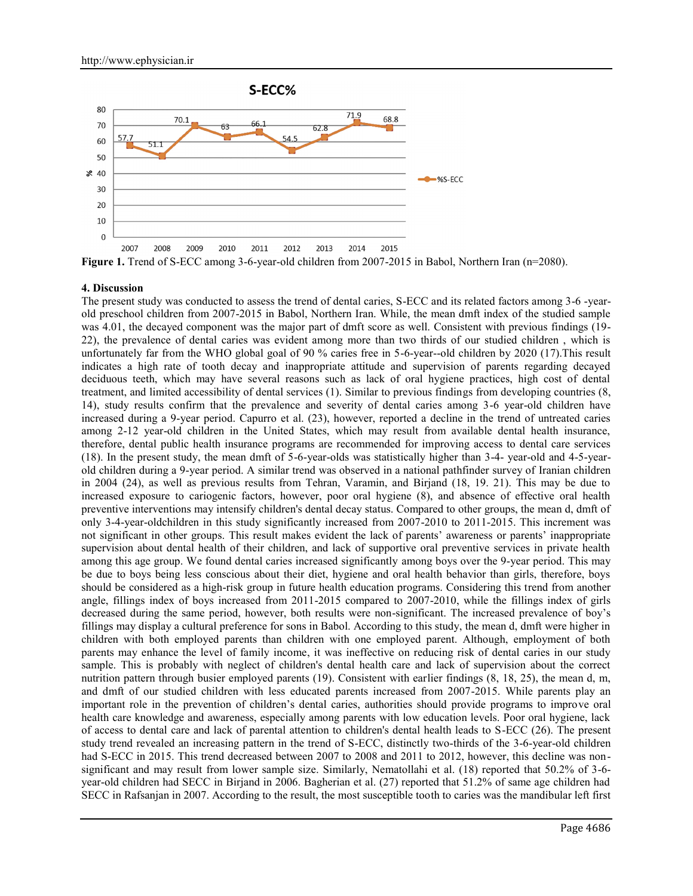

### **4. Discussion**

The present study was conducted to assess the trend of dental caries, S-ECC and its related factors among 3-6 -year old preschool children from 2007-2015 in Babol, Northern Iran. While, the mean dmft index of the studied sample was 4.01, the decayed component was the major part of dmft score as well. Consistent with previous findings (19-22), the prevalence of dental caries was evident among more than two thirds of our studied children , which is unfortunately far from the WHO global goal of 90 % caries free in 5-6-year--old children by 2020 (17).This result indicates a high rate of tooth decay and inappropriate attitude and supervision of parents regarding decayed deciduous teeth, which may have several reasons such as lack of oral hygiene practices, high cost of dental treatment, and limited accessibility of dental services (1). Similar to previous findings from developing countries (8, 14), study results confirm that the prevalence and severity of dental caries among 3-6 year-old children have increased during a 9-year period. Capurro et al. (23), however, reported a decline in the trend of untreated caries among 2-12 year-old children in the United States, which may result from available dental health insurance, therefore, dental public health insurance programs are recommended for improving access to dental care services (18). In the present study, the mean dmft of 5-6-year-olds was statistically higher than 3-4- year-old and 4-5-year old children during a 9-year period. A similar trend was observed in a national pathfinder survey of Iranian children in 2004 (24), as well as previous results from Tehran, Varamin, and Birjand (18, 19. 21). This may be due to increased exposure to cariogenic factors, however, poor oral hygiene (8), and absence of effective oral health preventive interventions may intensify children's dental decay status. Compared to other groups, the mean d, dmft of only 3-4-year-oldchildren in this study significantly increased from 2007-2010 to 2011-2015. This increment was not significant in other groups. This result makes evident the lack of parents' awareness or parents' inappropriate supervision about dental health of their children, and lack of supportive oral preventive services in private health among this age group. We found dental caries increased significantly among boys over the 9-year period. This may be due to boys being less conscious about their diet, hygiene and oral health behavior than girls, therefore, boys should be considered as a high-risk group in future health education programs. Considering this trend from another angle, fillings index of boys increased from 2011-2015 compared to 2007-2010, while the fillings index of girls decreased during the same period, however, both results were non-significant. The increased prevalence of boy's fillings may display a cultural preference for sons in Babol. According to this study, the mean d, dmft were higher in children with both employed parents than children with one employed parent. Although, employment of both parents may enhance the level of family income, it was ineffective on reducing risk of dental caries in our study sample. This is probably with neglect of children's dental health care and lack of supervision about the correct nutrition pattern through busier employed parents (19). Consistent with earlier findings (8, 18, 25), the mean d, m, and dmft of our studied children with less educated parents increased from 2007-2015. While parents play an important role in the prevention of children's dental caries, authorities should provide programs to improve oral health care knowledge and awareness, especially among parents with low education levels. Poor oral hygiene, lack of access to dental care and lack of parental attention to children's dental health leads to S-ECC (26). The present study trend revealed an increasing pattern in the trend of S-ECC, distinctly two-thirds of the 3-6-year-old children had S-ECC in 2015. This trend decreased between 2007 to 2008 and 2011 to 2012, however, this decline was nonsignificant and may result from lower sample size. Similarly, Nematollahi et al. (18) reported that 50.2% of 3-6 year-old children had SECC in Birjand in 2006. Bagherian et al. (27) reported that 51.2% of same age children had SECC in Rafsanjan in 2007. According to the result, the most susceptible tooth to caries was the mandibular left first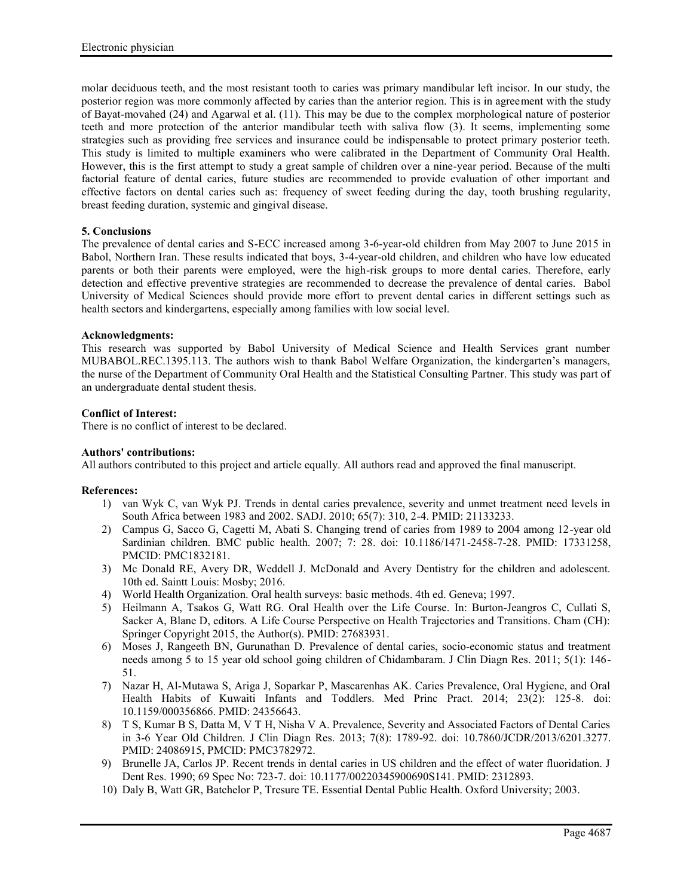molar deciduous teeth, and the most resistant tooth to caries was primary mandibular left incisor. In our study, the posterior region was more commonly affected by caries than the anterior region. This is in agreement with the study of Bayat-movahed (24) and Agarwal et al. (11). This may be due to the complex morphological nature of posterior teeth and more protection of the anterior mandibular teeth with saliva flow (3). It seems, implementing some strategies such as providing free services and insurance could be indispensable to protect primary posterior teeth. This study is limited to multiple examiners who were calibrated in the Department of Community Oral Health. However, this is the first attempt to study a great sample of children over a nine-year period. Because of the multi factorial feature of dental caries, future studies are recommended to provide evaluation of other important and effective factors on dental caries such as: frequency of sweet feeding during the day, tooth brushing regularity, breast feeding duration, systemic and gingival disease.

# **5. Conclusions**

The prevalence of dental caries and S-ECC increased among 3-6-year-old children from May 2007 to June 2015 in Babol, Northern Iran. These results indicated that boys, 3-4-year-old children, and children who have low educated parents or both their parents were employed, were the high-risk groups to more dental caries. Therefore, early detection and effective preventive strategies are recommended to decrease the prevalence of dental caries. Babol University of Medical Sciences should provide more effort to prevent dental caries in different settings such as health sectors and kindergartens, especially among families with low social level.

## **Acknowledgments:**

This research was supported by Babol University of Medical Science and Health Services grant number MUBABOL.REC.1395.113. The authors wish to thank Babol Welfare Organization, the kindergarten's managers, the nurse of the Department of Community Oral Health and the Statistical Consulting Partner. This study was part of an undergraduate dental student thesis.

# **Conflict of Interest:**

There is no conflict of interest to be declared.

## **Authors' contributions:**

All authors contributed to this project and article equally. All authors read and approved the final manuscript.

### **References:**

- 1) van Wyk C, van Wyk PJ. Trends in dental caries prevalence, severity and unmet treatment need levels in South Africa between 1983 and 2002. SADJ. 2010; 65(7): 310, 2-4. PMID: 21133233.
- 2) Campus G, Sacco G, Cagetti M, Abati S. Changing trend of caries from 1989 to 2004 among 12-year old Sardinian children. BMC public health. 2007; 7: 28. doi: 10.1186/1471-2458-7-28. PMID: 17331258, PMCID: PMC1832181.
- 3) Mc Donald RE, Avery DR, Weddell J. McDonald and Avery Dentistry for the children and adolescent. 10th ed. Saintt Louis: Mosby; 2016.
- 4) World Health Organization. Oral health surveys: basic methods. 4th ed. Geneva; 1997.
- 5) Heilmann A, Tsakos G, Watt RG. Oral Health over the Life Course. In: Burton-Jeangros C, Cullati S, Sacker A, Blane D, editors. A Life Course Perspective on Health Trajectories and Transitions. Cham (CH): Springer Copyright 2015, the Author(s). PMID: 27683931.
- 6) Moses J, Rangeeth BN, Gurunathan D. Prevalence of dental caries, socio-economic status and treatment needs among 5 to 15 year old school going children of Chidambaram. J Clin Diagn Res. 2011; 5(1): 146- 51.
- 7) Nazar H, Al-Mutawa S, Ariga J, Soparkar P, Mascarenhas AK. Caries Prevalence, Oral Hygiene, and Oral Health Habits of Kuwaiti Infants and Toddlers. Med Princ Pract. 2014; 23(2): 125-8. doi: 10.1159/000356866. PMID: 24356643.
- 8) T S, Kumar B S, Datta M, V T H, Nisha V A. Prevalence, Severity and Associated Factors of Dental Caries in 3-6 Year Old Children. J Clin Diagn Res. 2013; 7(8): 1789-92. doi: 10.7860/JCDR/2013/6201.3277. PMID: 24086915, PMCID: PMC3782972.
- 9) Brunelle JA, Carlos JP. Recent trends in dental caries in US children and the effect of water fluoridation. J Dent Res. 1990; 69 Spec No: 723-7. doi: 10.1177/00220345900690S141. PMID: 2312893.
- 10) Daly B, Watt GR, Batchelor P, Tresure TE. Essential Dental Public Health. Oxford University; 2003.